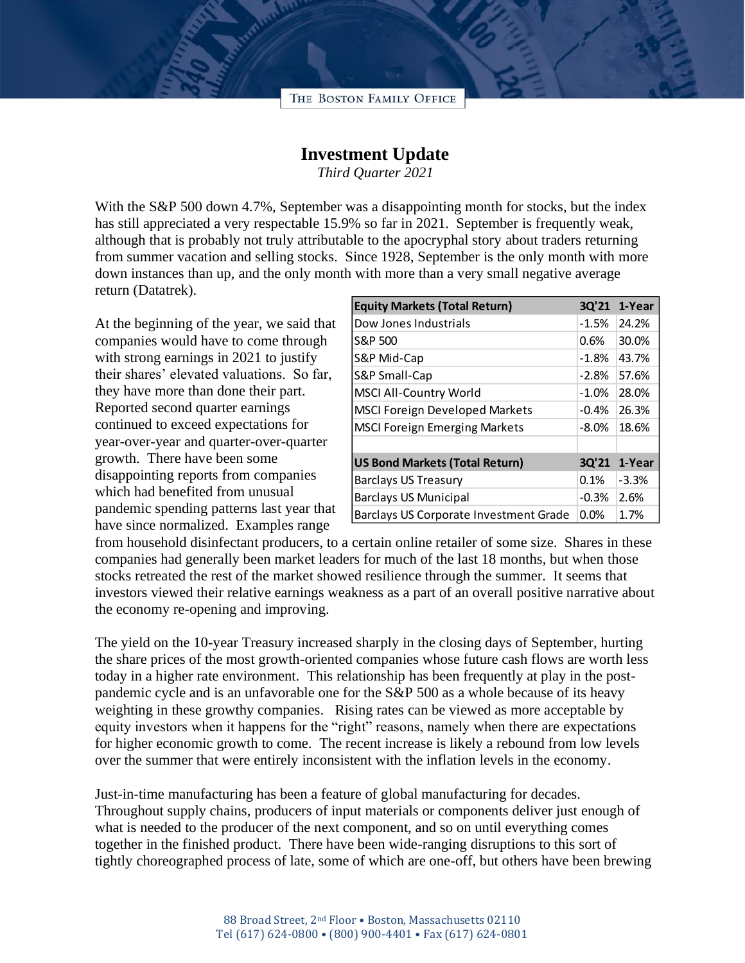

## **Investment Update**

*Third Quarter 2021*

With the S&P 500 down 4.7%, September was a disappointing month for stocks, but the index has still appreciated a very respectable 15.9% so far in 2021. September is frequently weak, although that is probably not truly attributable to the apocryphal story about traders returning from summer vacation and selling stocks. Since 1928, September is the only month with more down instances than up, and the only month with more than a very small negative average return (Datatrek).

At the beginning of the year, we said that companies would have to come through with strong earnings in 2021 to justify their shares' elevated valuations. So far, they have more than done their part. Reported second quarter earnings continued to exceed expectations for year-over-year and quarter-over-quarter growth. There have been some disappointing reports from companies which had benefited from unusual pandemic spending patterns last year that have since normalized. Examples range

| <b>Equity Markets (Total Return)</b>   | 3Q'21    | 1-Year  |
|----------------------------------------|----------|---------|
| Dow Jones Industrials                  | $-1.5%$  | 24.2%   |
| S&P 500                                | 0.6%     | 30.0%   |
| S&P Mid-Cap                            | $-1.8%$  | 43.7%   |
| S&P Small-Cap                          | $-2.8%$  | 57.6%   |
| <b>MSCI All-Country World</b>          | $-1.0%$  | 28.0%   |
| <b>MSCI Foreign Developed Markets</b>  | $-0.4%$  | 26.3%   |
| <b>MSCI Foreign Emerging Markets</b>   | $-8.0\%$ | 18.6%   |
|                                        |          |         |
| <b>US Bond Markets (Total Return)</b>  | 3Q'21    | 1-Year  |
| <b>Barclays US Treasury</b>            | $0.1\%$  | $-3.3%$ |
| <b>Barclays US Municipal</b>           | $-0.3%$  | 2.6%    |
| Barclays US Corporate Investment Grade | 0.0%     | 1.7%    |

from household disinfectant producers, to a certain online retailer of some size. Shares in these companies had generally been market leaders for much of the last 18 months, but when those stocks retreated the rest of the market showed resilience through the summer. It seems that investors viewed their relative earnings weakness as a part of an overall positive narrative about the economy re-opening and improving.

The yield on the 10-year Treasury increased sharply in the closing days of September, hurting the share prices of the most growth-oriented companies whose future cash flows are worth less today in a higher rate environment. This relationship has been frequently at play in the postpandemic cycle and is an unfavorable one for the S&P 500 as a whole because of its heavy weighting in these growthy companies. Rising rates can be viewed as more acceptable by equity investors when it happens for the "right" reasons, namely when there are expectations for higher economic growth to come. The recent increase is likely a rebound from low levels over the summer that were entirely inconsistent with the inflation levels in the economy.

Just-in-time manufacturing has been a feature of global manufacturing for decades. Throughout supply chains, producers of input materials or components deliver just enough of what is needed to the producer of the next component, and so on until everything comes together in the finished product. There have been wide-ranging disruptions to this sort of tightly choreographed process of late, some of which are one-off, but others have been brewing